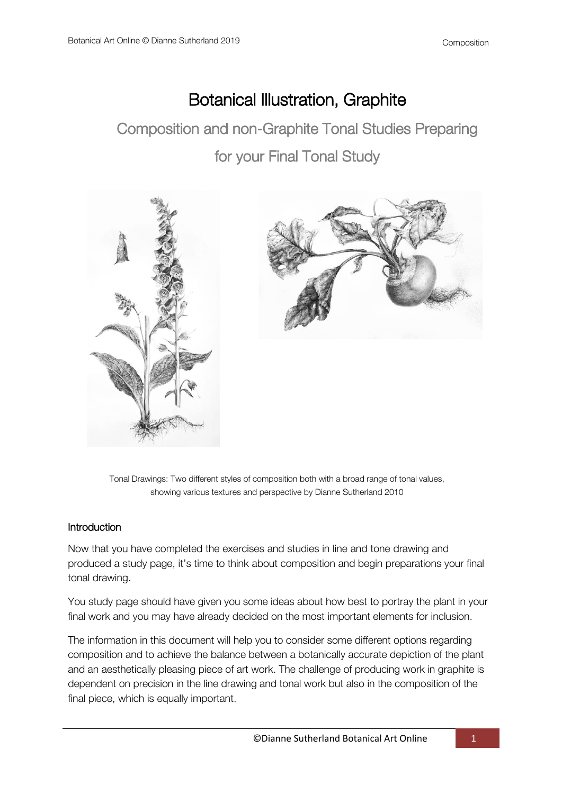# Botanical Illustration, Graphite

Composition and non-Graphite Tonal Studies Preparing for your Final Tonal Study



Tonal Drawings: Two different styles of composition both with a broad range of tonal values, showing various textures and perspective by Dianne Sutherland 2010

### **Introduction**

Now that you have completed the exercises and studies in line and tone drawing and produced a study page, it's time to think about composition and begin preparations your final tonal drawing.

You study page should have given you some ideas about how best to portray the plant in your final work and you may have already decided on the most important elements for inclusion.

The information in this document will help you to consider some different options regarding composition and to achieve the balance between a botanically accurate depiction of the plant and an aesthetically pleasing piece of art work. The challenge of producing work in graphite is dependent on precision in the line drawing and tonal work but also in the composition of the final piece, which is equally important.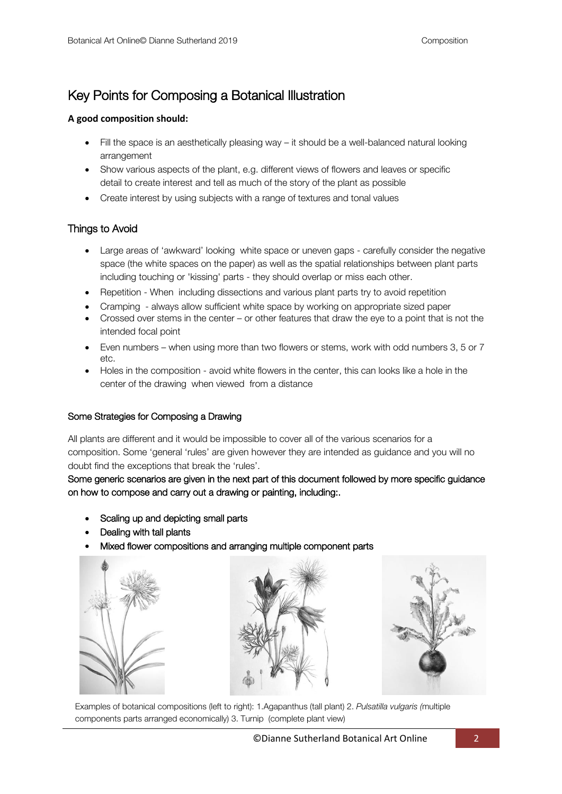## Key Points for Composing a Botanical Illustration

#### **A good composition should:**

- $\bullet$  Fill the space is an aesthetically pleasing way it should be a well-balanced natural looking arrangement
- Show various aspects of the plant, e.g. different views of flowers and leaves or specific detail to create interest and tell as much of the story of the plant as possible
- Create interest by using subjects with a range of textures and tonal values

#### Things to Avoid

- Large areas of 'awkward' looking white space or uneven gaps carefully consider the negative space (the white spaces on the paper) as well as the spatial relationships between plant parts including touching or 'kissing' parts - they should overlap or miss each other.
- Repetition When including dissections and various plant parts try to avoid repetition
- Cramping always allow sufficient white space by working on appropriate sized paper
- Crossed over stems in the center or other features that draw the eye to a point that is not the intended focal point
- Even numbers when using more than two flowers or stems, work with odd numbers 3, 5 or 7 etc.
- Holes in the composition avoid white flowers in the center, this can looks like a hole in the center of the drawing when viewed from a distance

#### Some Strategies for Composing a Drawing

All plants are different and it would be impossible to cover all of the various scenarios for a composition. Some 'general 'rules' are given however they are intended as guidance and you will no doubt find the exceptions that break the 'rules'.

#### Some generic scenarios are given in the next part of this document followed by more specific guidance on how to compose and carry out a drawing or painting, including:.

- Scaling up and depicting small parts
- Dealing with tall plants
- Mixed flower compositions and arranging multiple component parts

![](_page_1_Picture_20.jpeg)

![](_page_1_Picture_21.jpeg)

![](_page_1_Picture_22.jpeg)

Examples of botanical compositions (left to right): 1.Agapanthus (tall plant) 2. *Pulsatilla vulgaris (*multiple components parts arranged economically) 3. Turnip (complete plant view)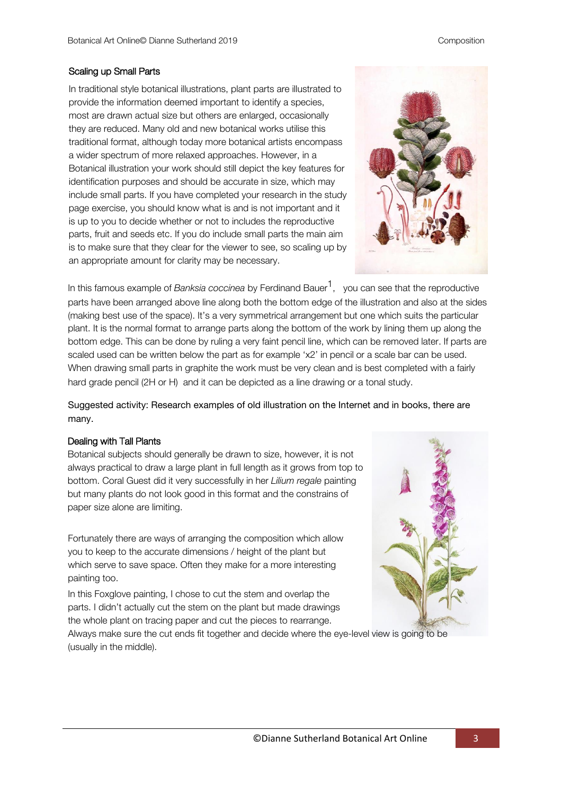#### Scaling up Small Parts

In traditional style botanical illustrations, plant parts are illustrated to provide the information deemed important to identify a species, most are drawn actual size but others are enlarged, occasionally they are reduced. Many old and new botanical works utilise this traditional format, although today more botanical artists encompass a wider spectrum of more relaxed approaches. However, in a Botanical illustration your work should still depict the key features for identification purposes and should be accurate in size, which may include small parts. If you have completed your research in the study page exercise, you should know what is and is not important and it is up to you to decide whether or not to includes the reproductive parts, fruit and seeds etc. If you do include small parts the main aim is to make sure that they clear for the viewer to see, so scaling up by an appropriate amount for clarity may be necessary.

![](_page_2_Picture_4.jpeg)

In this famous example of *Banksia coccinea* by Ferdinand Bauer<sup>1</sup>, you can see that the reproductive parts have been arranged above line along both the bottom edge of the illustration and also at the sides (making best use of the space). It's a very symmetrical arrangement but one which suits the particular plant. It is the normal format to arrange parts along the bottom of the work by lining them up along the bottom edge. This can be done by ruling a very faint pencil line, which can be removed later. If parts are scaled used can be written below the part as for example 'x2' in pencil or a scale bar can be used. When drawing small parts in graphite the work must be very clean and is best completed with a fairly hard grade pencil (2H or H) and it can be depicted as a line drawing or a tonal study.

Suggested activity: Research examples of old illustration on the Internet and in books, there are many.

#### Dealing with Tall Plants

Botanical subjects should generally be drawn to size, however, it is not always practical to draw a large plant in full length as it grows from top to bottom. Coral Guest did it very successfully in her *Lilium regale* painting but many plants do not look good in this format and the constrains of paper size alone are limiting.

Fortunately there are ways of arranging the composition which allow you to keep to the accurate dimensions / height of the plant but which serve to save space. Often they make for a more interesting painting too.

In this Foxglove painting, I chose to cut the stem and overlap the parts. I didn't actually cut the stem on the plant but made drawings the whole plant on tracing paper and cut the pieces to rearrange.

![](_page_2_Picture_11.jpeg)

![](_page_2_Picture_12.jpeg)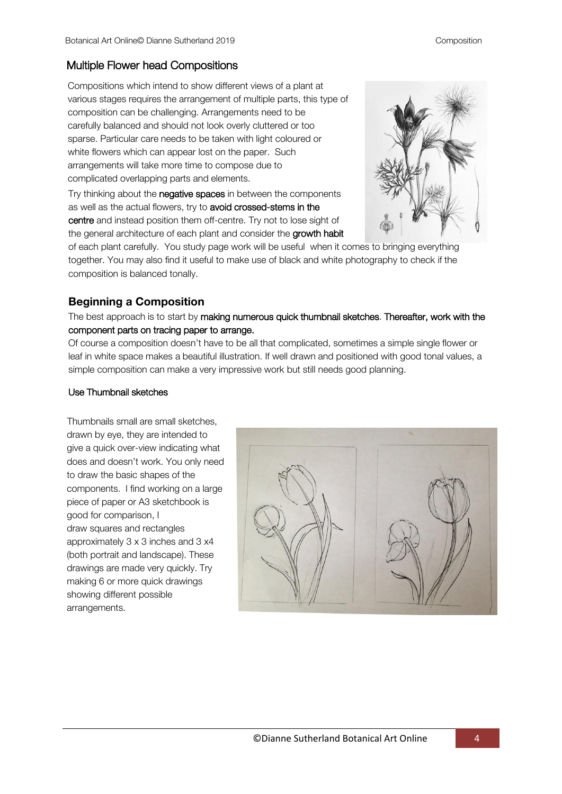#### Multiple Flower head Compositions

Compositions which intend to show different views of a plant at various stages requires the arrangement of multiple parts, this type of composition can be challenging. Arrangements need to be carefully balanced and should not look overly cluttered or too sparse. Particular care needs to be taken with light coloured or white flowers which can appear lost on the paper. Such arrangements will take more time to compose due to complicated overlapping parts and elements.

Try thinking about the **negative spaces** in between the components as well as the actual flowers, try to avoid crossed-stems in the centre and instead position them off-centre. Try not to lose sight of the general architecture of each plant and consider the growth habit

![](_page_3_Picture_5.jpeg)

of each plant carefully. You study page work will be useful when it comes to bringing everything together. You may also find it useful to make use of black and white photography to check if the composition is balanced tonally.

### **Beginning a Composition**

The best approach is to start by making numerous quick thumbnail sketches. Thereafter, work with the component parts on tracing paper to arrange.

Of course a composition doesn't have to be all that complicated, sometimes a simple single flower or leaf in white space makes a beautiful illustration. If well drawn and positioned with good tonal values, a simple composition can make a very impressive work but still needs good planning.

#### Use Thumbnail sketches

Thumbnails small are small sketches, drawn by eye, they are intended to give a quick over-view indicating what does and doesn't work. You only need to draw the basic shapes of the components. I find working on a large piece of paper or A3 sketchbook is good for comparison, I draw squares and rectangles approximately 3 x 3 inches and 3 x4 (both portrait and landscape). These drawings are made very quickly. Try making 6 or more quick drawings showing different possible arrangements.

![](_page_3_Picture_12.jpeg)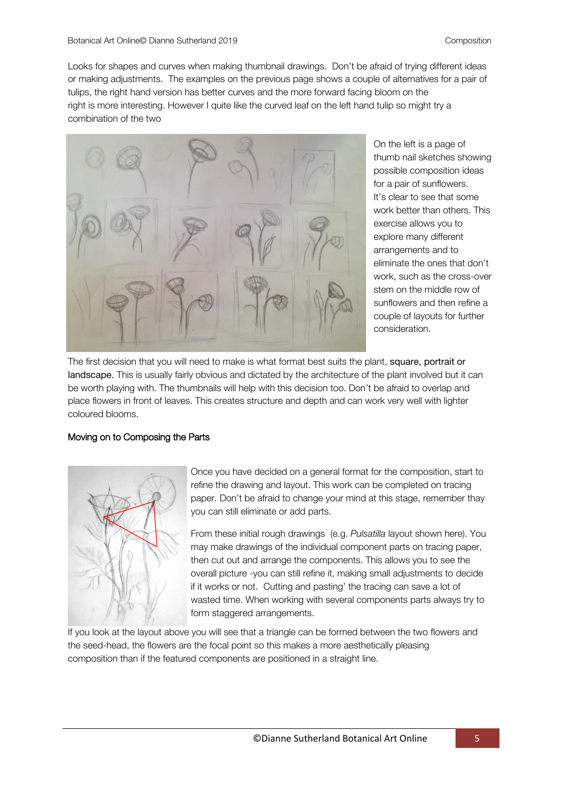Looks for shapes and curves when making thumbnail drawings. Don't be afraid of trying different ideas or making adjustments. The examples on the previous page shows a couple of alternatives for a pair of tulips, the right hand version has better curves and the more forward facing bloom on the right is more interesting. However I quite like the curved leaf on the left hand tulip so might try a combination of the two

![](_page_4_Picture_3.jpeg)

On the left is a page of thumb nail sketches showing possible composition ideas for a pair of sunflowers. It's clear to see that some work better than others. This exercise allows you to explore many different arrangements and to eliminate the ones that don't work, such as the cross-over stem on the middle row of sunflowers and then refine a couple of layouts for further consideration.

The first decision that you will need to make is what format best suits the plant, square, portrait or landscape. This is usually fairly obvious and dictated by the architecture of the plant involved but it can be worth playing with. The thumbnails will help with this decision too. Don't be afraid to overlap and place flowers in front of leaves. This creates structure and depth and can work very well with lighter coloured blooms.

#### Moving on to Composing the Parts

![](_page_4_Picture_7.jpeg)

Once you have decided on a general format for the composition, start to refine the drawing and layout. This work can be completed on tracing paper. Don't be afraid to change your mind at this stage, remember thay you can still eliminate or add parts.

From these initial rough drawings (e.g. *Pulsatilla* layout shown here). You may make drawings of the individual component parts on tracing paper, then cut out and arrange the components. This allows you to see the overall picture -you can still refine it, making small adjustments to decide if it works or not. Cutting and pasting' the tracing can save a lot of wasted time. When working with several components parts always try to form staggered arrangements.

If you look at the layout above you will see that a triangle can be formed between the two flowers and the seed-head, the flowers are the focal point so this makes a more aesthetically pleasing composition than if the featured components are positioned in a straight line.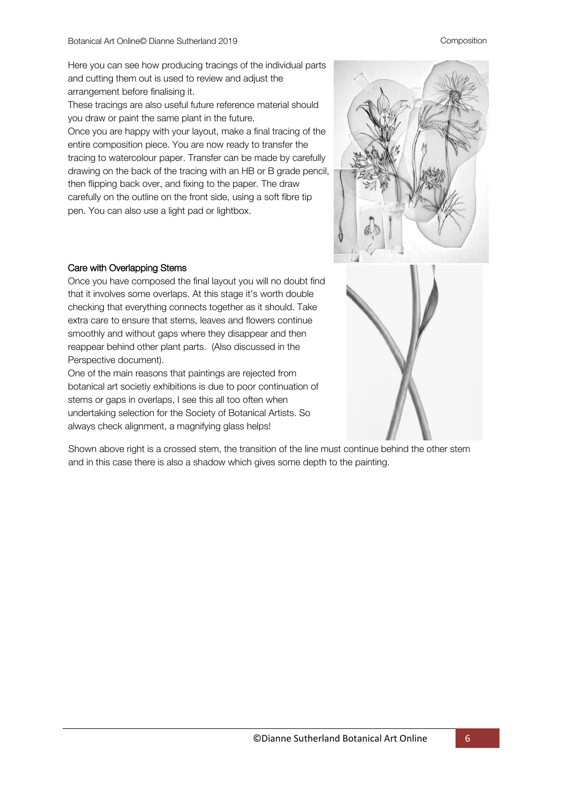#### Composition

Here you can see how producing tracings of the individual parts and cutting them out is used to review and adjust the arrangement before finalising it.

These tracings are also useful future reference material should you draw or paint the same plant in the future.

Once you are happy with your layout, make a final tracing of the entire composition piece. You are now ready to transfer the tracing to watercolour paper. Transfer can be made by carefully drawing on the back of the tracing with an HB or B grade pencil, then flipping back over, and fixing to the paper. The draw carefully on the outline on the front side, using a soft fibre tip pen. You can also use a light pad or lightbox.

![](_page_5_Picture_5.jpeg)

#### Care with Overlapping Stems

Once you have composed the final layout you will no doubt find that it involves some overlaps. At this stage it's worth double checking that everything connects together as it should. Take extra care to ensure that stems, leaves and flowers continue smoothly and without gaps where they disappear and then reappear behind other plant parts. (Also discussed in the Perspective document).

One of the main reasons that paintings are rejected from botanical art societiy exhibitions is due to poor continuation of stems or gaps in overlaps, I see this all too often when undertaking selection for the Society of Botanical Artists. So always check alignment, a magnifying glass helps!

Shown above right is a crossed stem, the transition of the line must continue behind the other stem and in this case there is also a shadow which gives some depth to the painting.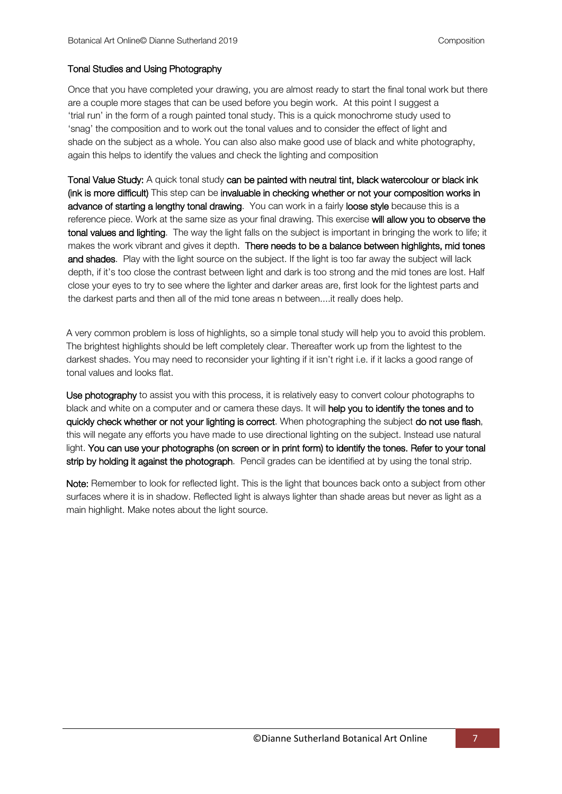#### Tonal Studies and Using Photography

Once that you have completed your drawing, you are almost ready to start the final tonal work but there are a couple more stages that can be used before you begin work. At this point I suggest a 'trial run' in the form of a rough painted tonal study. This is a quick monochrome study used to 'snag' the composition and to work out the tonal values and to consider the effect of light and shade on the subject as a whole. You can also also make good use of black and white photography, again this helps to identify the values and check the lighting and composition

Tonal Value Study: A quick tonal study can be painted with neutral tint, black watercolour or black ink (ink is more difficult) This step can be invaluable in checking whether or not your composition works in advance of starting a lengthy tonal drawing. You can work in a fairly loose style because this is a reference piece. Work at the same size as your final drawing. This exercise will allow you to observe the tonal values and lighting. The way the light falls on the subject is important in bringing the work to life; it makes the work vibrant and gives it depth. There needs to be a balance between highlights, mid tones and shades. Play with the light source on the subject. If the light is too far away the subject will lack depth, if it's too close the contrast between light and dark is too strong and the mid tones are lost. Half close your eyes to try to see where the lighter and darker areas are, first look for the lightest parts and the darkest parts and then all of the mid tone areas n between....it really does help.

A very common problem is loss of highlights, so a simple tonal study will help you to avoid this problem. The brightest highlights should be left completely clear. Thereafter work up from the lightest to the darkest shades. You may need to reconsider your lighting if it isn't right i.e. if it lacks a good range of tonal values and looks flat.

Use photography to assist you with this process, it is relatively easy to convert colour photographs to black and white on a computer and or camera these days. It will help you to identify the tones and to quickly check whether or not your lighting is correct. When photographing the subject do not use flash, this will negate any efforts you have made to use directional lighting on the subject. Instead use natural light. You can use your photographs (on screen or in print form) to identify the tones. Refer to your tonal strip by holding it against the photograph. Pencil grades can be identified at by using the tonal strip.

Note: Remember to look for reflected light. This is the light that bounces back onto a subject from other surfaces where it is in shadow. Reflected light is always lighter than shade areas but never as light as a main highlight. Make notes about the light source.